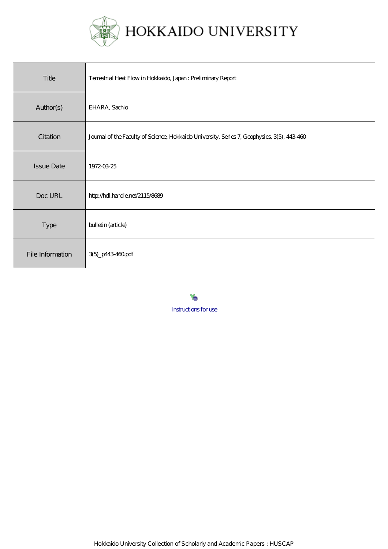

| Title             | Terrestrial Heat Flow in Hokkaido, Japan: Preliminary Report                                |
|-------------------|---------------------------------------------------------------------------------------------|
| Author(s)         | EHARA, Sachio                                                                               |
| Citation          | Journal of the Faculty of Science, Hokkaido University. Series 7, Geophysics, 3(5), 443-460 |
| <b>Issue Date</b> | 1972-03-25                                                                                  |
| Doc URL           | http://hdl.handle.net/2115/8689                                                             |
| <b>Type</b>       | bulletin (article)                                                                          |
| File Information  | 3(5)_p443460pdf                                                                             |

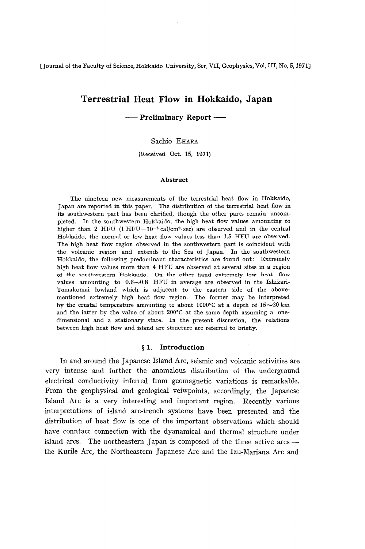(Journal of the Faculty of Science, Hokkaido University, Ser. VII, Geophysics, Vol. III, No.5, 1971)

# **Terrestrial Heat Flow in Hokkaido, Japan**

**-- Preliminary Report --**

## Sachio EHARA

(Received Oct. 15. 1971)

#### **Abstruct**

The nineteen new measurements of the terrestrial heat flow in Hokkaido, Japan are reported in this paper. The distribution of the terrestrial heat flow in its southwestern part has been clarified. though the other parts remain uncompleted. In the southwestern Hokkaido. the high heat flow values amounting to higher than 2 HFU (1 HFU =  $10^{-6}$  cal/cm<sup>2</sup> sec) are observed and in the central Hokkaido, the normal or low heat flow values less than 1.5 HFU are observed. The high heat flow region observed in the southwestern part is coincident with the volcanic region and extends to the Sea of Japan. In the southwestern Hokkaido. the following predominant characteristics are found out: Extremely high heat flow values more than 4 HFU are observed at several sites in a region of the southwestern Hokkaido. On the other hand extremely low heat flow values amounting to  $0.6 \sim 0.8$  HFU in average are observed in the Ishikari-Tomakomai lowland which is adjacent to the eastern side of the abovementioned extremely high heat flow region. The former may be interpreted by the crustal temperature amounting to about 1000°C at a depth of  $15~20~\mathrm{km}$ and the latter by the value of about 200°C at the same depth assuming a onedimensional and a stationary state. In the present discussion. the relations between high heat flow and island arc structure are referred to briefly.

## § **1. Introduction**

**In** and around the Japanese Island Arc, seismic and volcanic activities are very intense and further the anomalous distribution of the underground electrical conductivity inferred from geomagnetic variations is remarkable. From the geophysical and geological veiwpoints, accordingly, the Japanese Island Arc is a very interesting and important region. Recently various interpretations of island arc-trench systems have been presented and the distribution of heat flow is one of the important observations which should have conntact connection with the dyanamical and thermal structure under island arcs. The northeastern Japan is composed of the three active arcs the Rurile Arc, the Northeastern Japanese Arc and the Izu-Mariana Arc and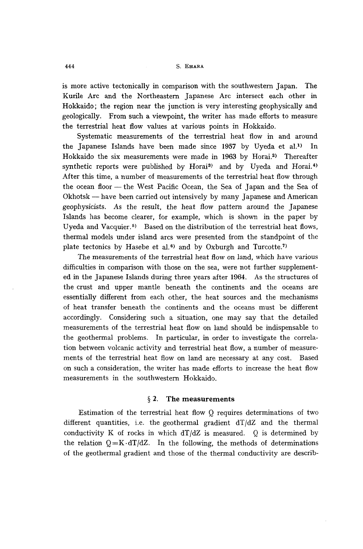is more active tectonically in comparison with the southwestern Japan. The Kurile Arc and the Northeastern Japanese Arc intersect each other in Hokkaido; the region near the junction is very interesting geophysically and geologically. From such a viewpoint, the writer has made efforts to measure the terrestrial heat flow values at various points in Hokkaido.

Systematic measurements of the terrestrial heat flow in and around the Japanese Islands have been made since 1957 by Uyeda et al.<sup>1)</sup> In Hokkaido the six measurements were made in 1963 by Horai.<sup>2)</sup> Thereafter synthetic reports were published by Horai<sup>3</sup> and by Uyeda and Horai.<sup>4)</sup> After this time, a number of measurements of the terrestrial heat flow through the ocean floor - the West Pacific Ocean, the Sea of Japan and the Sea of Okhotsk - have been carried out intensively by many Japanese and American geophysicists. As the result, the heat flow pattern around the Japanese Islands has become clearer, for example, which is shown in the paper by Uyeda and Vacquier.<sup>5)</sup> Based on the distribution of the terrestrial heat flows, thermal models under island arcs were presented from the standpoint of the plate tectonics by Hasebe et al.<sup> $6)$ </sup> and by Oxburgh and Turcotte.<sup>7</sup>

The measurements of the terrestrial heat flow on land, which have various difficulties in comparison with those on the sea, were not further supplemented in the Japanese Islands during three years after 1964. As the structures of the crust and upper mantle beneath the continents and the oceans are essentially different from each other, the heat sources and the mechanisms of heat transfer beneath the continents and the oceans must be different accordingly. Considering such a situation, one may say that the detailed measurements of the terrestrial heat flow on land should be indispensable to the geothermal problems. In particular, in order to investigate the correlation between volcanic activity and terrestrial heat flow, a number of measurements of the terrestrial heat flow on land are necessary at any cost. Based on such a consideration, the writer has made efforts to increase the heat flow measurements in the southwestern Hokkaido.

## § 2. The measurements

Estimation of the terrestrial heat flow Q requires determinations of two different quantities, i.e. the geothermal gradient  $dT/dZ$  and the thermal conductivity K of rocks in which  $dT/dZ$  is measured. Q is determined by the relation  $Q = K \cdot dT/dZ$ . In the following, the methods of determinations of the geothermal gradient and those of the thermal conductivity are describ-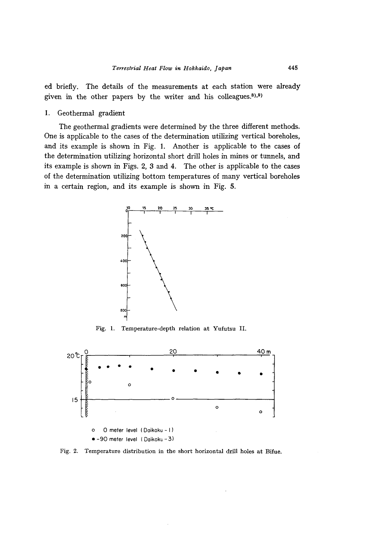ed briefly. The details of the measurements at each station were already given in the other papers by the writer and his colleagues. $8,9)$ ,

1. Geothermal gradient

The geothermal gradients were determined by the three different methods. One is applicable to the cases of the determination utilizing vertical boreholes, and its example is shown in Fig. 1. Another is applicable to the cases of the determination utilizing horizontal short drill holes in mines or tunnels, and its example is shown in Figs. 2, 3 and 4. The other is applicable to the cases of the determination utilizing bottom temperatures of many vertical boreholes in a certain region, and its example is shown in Fig. 5.



Fig. 1. Temperature-depth relation at Yufutsu II.



Fig. 2. Temperature distribution in the short horizontal drill holes at Bifue.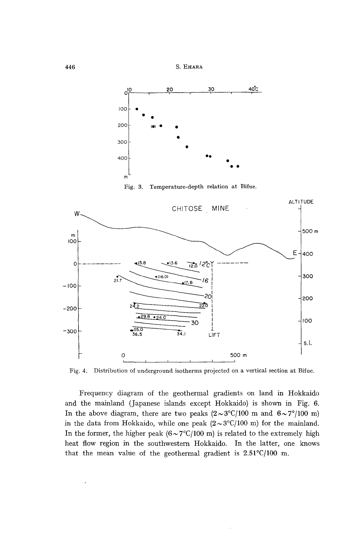

Fig. 4. Distribution of underground isotherms projected on a vertical section at Bifue.

Frequency diagram of the geothermal gradients on land in Hokkaido and the mainland (Japanese islands except Hokkaido) is shown in Fig. 6. In the above diagram, there are two peaks  $(2 \sim 3^{\circ}C/100 \text{ m and } 6 \sim 7^{\circ}/100 \text{ m})$ in the data from Hokkaido, while one peak  $(2 \sim 3^{\circ}C/100 \text{ m})$  for the mainland. In the former, the higher peak  $(6 \sim 7^{\circ}C/100 \text{ m})$  is related to the extremely high heat flow region in the southwestern Hokkaido. In the latter, one knows that the mean value of the geothermal gradient is  $2.51^{\circ}C/100$  m.

446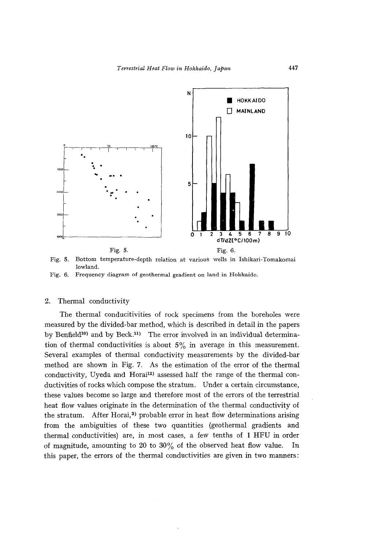

Fig. 5. Bottom temperature-depth relation at various wells in Ishikari-Tomakomai lowland.

Fig. 6. Frequency diagram of geothermal gradient on land in Hokkaido.

## 2. Thermal conductivity

The thermal conducitivities of rock specimens from the boreholes were measured by the divided-bar method, which is described in detail in the papers by Benfield<sup>10)</sup> and by Beck.<sup>11</sup>) The error involved in an individual determination of thermal conductivities is about  $5\%$  in average in this measurement. Several examples of thermal conductivity measurements by the divided-bar method are shown in Fig. 7. As the estimation of the error of the thermal conductivity, Uyeda and Horai<sup>12</sup> assessed half the range of the thermal conductivities of rocks which compose the stratum. Under a certain circumstance, these values become so large and therefore most of the errors of the terrestrial heat flow values originate in the determination of the thermal conductivity of the stratum. After Horai,<sup>3)</sup> probable error in heat flow determinations arising from the ambiguities of these two quantities (geothermal gradients and thermal conductivities) are, in most cases, a few tenths of 1 RFU in order of magnitude, amounting to 20 to  $30\%$  of the observed heat flow value. In this paper, the errors of the thermal conductivities are given in two manners: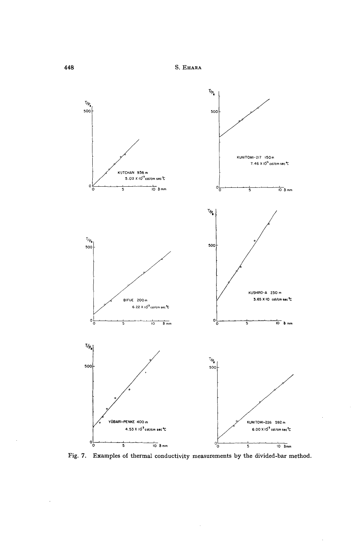S. EHARA



Fig. 7. Examples of thermal conductivity measurements by the divided-bar method.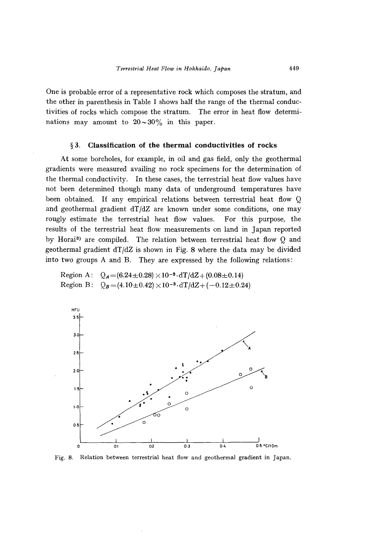One is probable error of a representative rock which composes the stratum, and the other in parenthesis in Table 1 shows half the range of the thermal conductivities of rocks which compose the stratum. The error in heat flow determinations may amount to  $20 \sim 30\%$  in this paper.

## § 3. **Classification of the thermal conductivities of rocks**

At some boreholes, for example, in oil and gas field, only the geothermal gradients were measured availing no rock specimens for the determination of the thermal conductivity. In these cases, the terrestrial heat flow values have not been determined though many data of underground temperatures have been obtained. If any empirical relations between terrestrial heat flow Q and geothermal gradient  $dT/dZ$  are known under some conditions, one may rougly estimate the terrestrial heat flow values. For this purpose, the results of the terrestrial heat flow measurements on land in Japan reported by Horai<sup>3</sup> are compiled. The relation between terrestrial heat flow Q and geothermal gradient  $dT/dZ$  is shown in Fig. 8 where the data may be divided into two groups A and B. They are expressed by the following relations:

Region A: Region B:  $Q_B = (4.10 \pm 0.42) \times 10^{-3} \cdot dT/dZ + (-0.12 \pm 0.24)$  $Q_A = (6.24 \pm 0.28) \times 10^{-3} \cdot dT/dZ + (0.08 \pm 0.14)$ 



Fig. 8. Relation between terrestrial heat flow and geothermal gradient in Japan.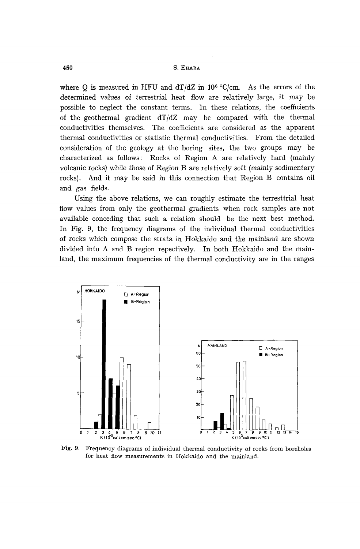where Q is measured in HFU and dT/dZ in  $10^6$  °C/cm. As the errors of the determined values of terrestrial heat flow are relatively large, it may be possible to neglect the constant terms. In these relations, the coefficients of the geothermal gradient dT/dZ may be compared with the thermal conductivities themselves. The coefficients are considered as the apparent thermal conductivities or statistic thermal conductivities. From the detailed consideration of the geology at the boring sites, the two groups may be characterized as follows: Rocks of Region A are relatively hard (mainly volcanic rocks) while those of Region B are relatively soft (mainly sedimentary rocks). And it may be said in this connection that Region B contains oil and gas fields.

Using the above relations, we can roughly estimate the terresttrial heat flow values from only the geothermal gradients when rock samples are not available conceding that such a relation should be the next best method. In Fig. 9, the frequency diagrams of the individual thermal conductivities of rocks which compose the strata in Hokkaido and the mainland are shown divided into A and B region repectively. In both Hokkaido and the mainland, the maximum frequencies of the thermal conductivity are in the ranges



Fig. 9. Frequency diagrams of individual thermal conductivity of rocks from boreholes for heat flow measurements in Hokkaido and the mainland.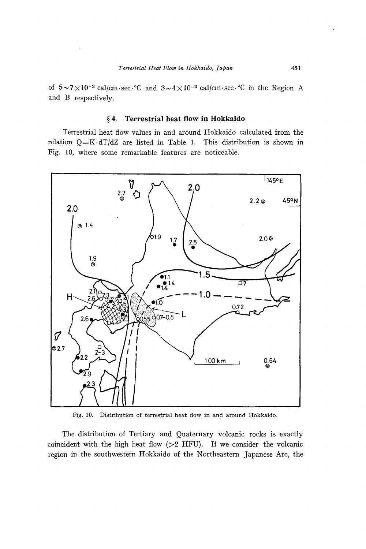of  $5 \sim 7 \times 10^{-3}$  cal/cm·sec.<sup>o</sup>C and  $3 \sim 4 \times 10^{-3}$  cal/cm·sec.<sup>o</sup>C in the Region A and B respectively.

## § **4. Terrestrial heat flow in Hokkaido**

Terrestrial heat flow values in and around Hokkaido calculated from the relation  $Q = K \cdot dT/dZ$  are listed in Table 1. This distribution is shown in Fig. lO, where some remarkable features are noticeable.



Fig. 10. Distribution of terrestrial heat flow in and around Hokkaido.

The distribution of Tertiary and Quaternary volcanic rocks is exactly coincident with the high heat flow  $(>2$  HFU). If we consider the volcanic region in the southwestern Hokkaido of the Northeastern Japanese Are, the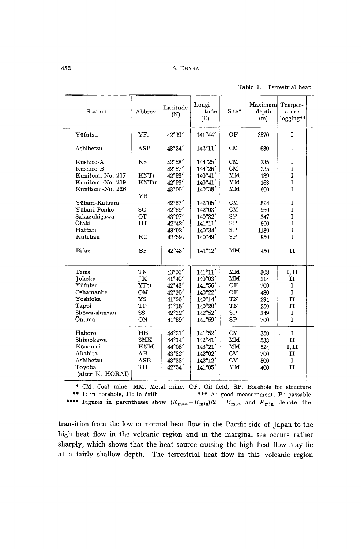|  | Table 1. Terrestrial heat |  |
|--|---------------------------|--|

| Station                                                                                                                                                                             | Abbrev.                                                                      | Latitude<br>(N)                                                                                                                                                                                        | Longi-<br>tude<br>(E)                                                                                                                              | Site*                                                                                            | Maximum<br>depth<br>(m)                                                           | Temper-<br>ature<br>$logging**$                                                                                  |  |
|-------------------------------------------------------------------------------------------------------------------------------------------------------------------------------------|------------------------------------------------------------------------------|--------------------------------------------------------------------------------------------------------------------------------------------------------------------------------------------------------|----------------------------------------------------------------------------------------------------------------------------------------------------|--------------------------------------------------------------------------------------------------|-----------------------------------------------------------------------------------|------------------------------------------------------------------------------------------------------------------|--|
| Yūfutsu                                                                                                                                                                             | YFI                                                                          | 42°39'                                                                                                                                                                                                 | 141°44'                                                                                                                                            | OF                                                                                               | 3570                                                                              | $\mathbf{r}$                                                                                                     |  |
| Ashibetsu                                                                                                                                                                           | <b>ASB</b>                                                                   | 43°24'                                                                                                                                                                                                 | $142^{\circ}11'$                                                                                                                                   | CM                                                                                               | 630                                                                               | I                                                                                                                |  |
| Kushiro-A<br>Kushiro-B<br>Kunitomi-No. 217<br>Kunitomi-No. 219<br>Kunitomi-No. 226<br>Yübari-Katsura<br>Yübari-Penke<br>Sakazukigawa<br>Otaki<br>Hattari<br>Kutchan<br><b>Bifue</b> | KS<br><b>KNTI</b><br><b>KNTII</b><br>YB<br>SG<br>OT<br>HT<br>KC<br><b>BF</b> | 42°58'<br>$42^{\circ}57'$<br>$42^{\circ}59'$<br>$42^{\circ}59'$<br>43°00'<br>42°57'<br>$42^{\circ}59'$<br>$43^{\circ}07'$<br>$42^{\circ}42'$<br>$43^{\circ}02'$<br>$42^{\circ}59$ ,<br>$42^{\circ}43'$ | 144°25'<br>$144^{\circ}26'$<br>140°41'<br>140°41'<br>140°38'<br>142°05'<br>142°03'<br>140°32'<br>$141^{\circ}11'$<br>140°34'<br>140°49'<br>141°12' | CM<br>CM<br>MM<br>MM<br>MM<br>CM<br>CM<br><b>SP</b><br>SP<br><b>SP</b><br><b>SP</b><br><b>MM</b> | 235<br>235<br>139<br>163<br>600<br>824<br>950<br>347<br>600<br>1180<br>950<br>450 | I<br>T <sub>1</sub><br>I<br>I<br>I.<br>I<br>I<br>$\mathbf I$<br>I<br>$\mathbf I$<br><sup>T</sup><br>$\mathbf{I}$ |  |
| Teine<br>Jōkoku<br>Yufutsu<br>Oshamanbe<br>Yoshioka<br>Tappi<br>Shōwa-shinzan<br>Ōnuma                                                                                              | TN<br>īΚ<br>YFII<br>OM<br>YS<br>TP<br>SS<br>ON                               | 43°06'<br>$41^{\circ}40'$<br>$42^{\circ}43'$<br>$42^{\circ}30'$<br>$41^{\circ}26'$<br>$41^{\circ}18'$<br>$42^{\circ}32'$<br>41°59'                                                                     | $141^{\circ}11'$<br>140°03'<br>141°56'<br>140°22'<br>$140^{\circ}14'$<br>140°20'<br>142°52'<br>141°59'                                             | MM<br>MM<br>OF<br>OF<br>TN<br>TN<br><b>SP</b><br><b>SP</b>                                       | 308<br>214<br>700<br>480<br>294<br>250<br>349<br>700                              | I, II<br>II<br>$\mathbf{I}$<br>$\mathbf{I}$<br>II<br>II<br>$\mathbf I$<br>Ĭ.                                     |  |
| Haboro<br>Shimokawa<br>Kōnomai<br>Akabira<br>Ashibetsu<br>Tovoha<br>(after K. HORAI)                                                                                                | HB<br><b>SMK</b><br><b>KNM</b><br>AB<br><b>ASB</b><br><b>TH</b>              | $44^{\circ}21'$<br>$44^{\circ}14'$<br>$44^{\circ}08'$<br>43°32'<br>43°33'<br>$42^{\circ}54'$                                                                                                           | 141°52'<br>$142^{\circ}41'$<br>143°21'<br>142°02'<br>$142^{\circ}12'$<br>141°05'                                                                   | CM<br>MM<br>MM<br>CM<br><b>CM</b><br>MM                                                          | 350<br>533<br>524<br>700<br>500<br>400                                            | $\mathbf I$<br>$\mathbf{I}$<br>I, II<br>$\mathbf{I}$<br>$\mathbf I$<br>II                                        |  |

• eM: Coal mine, MM: Metal mine, OF: Oil field, SP: Borehole for structure

\*\*\* A: good measurement, B: passable \*\*\*\* Figures in parentheses show  $(K_{\text{max}}-K_{\text{min}})/2$ .  $K_{\text{max}}$  and  $K_{\text{min}}$  denote the

transition from the low or normal heat flow in the Pacific side of Japan to the high heat flow in the volcanic region and in the marginal sea occurs rather sharply, which shows that the heat source causing the high heat flow may lie at a fairly shallow depth. The terrestrial heat flow in this volcanic region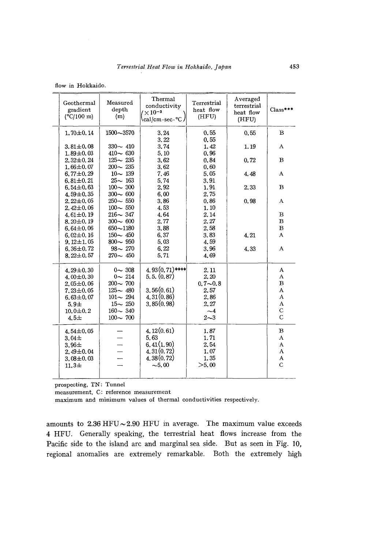|  |  | flow in Hokkaido. |
|--|--|-------------------|
|--|--|-------------------|

| Geothermal<br>gradient<br>$(^{\circ}C/100 \text{ m})$ | Measured<br>depth<br>(m) | Thermal<br>conductivity<br>$\times 10^{-3}$<br>cal/cm·sec·°C | Terrestrial<br>heat flow<br>(HFU) | Averaged<br>terrestrial<br>heat flow<br>(HFU) | $Class***$    |
|-------------------------------------------------------|--------------------------|--------------------------------------------------------------|-----------------------------------|-----------------------------------------------|---------------|
| $1.70 \pm 0.14$                                       | 1500~3570                | 3.24<br>3.22                                                 | 0.55<br>0,55                      | 0.55                                          | $\mathbf B$   |
| $3.81 \pm 0.08$                                       | $330 - 410$              | 3.74                                                         | 1.42                              | 1.19                                          | Α             |
| $1.89 + 0.03$                                         | $410 - 630$              | 5.10                                                         | 0.96                              |                                               |               |
| $2,32\pm0.24$                                         | $125 - 235$              | 3.62                                                         | 0.84                              | 0.72                                          | $\bf{B}$      |
| $1,66 \pm 0.07$                                       | $200 - 235$              | 3.62                                                         | 0.60                              |                                               |               |
| $6,77 \pm 0.29$                                       | $10 - 139$               | 7.46                                                         | 5.05                              | 4.48                                          | A             |
| $6,81\pm0.21$                                         | $25 - 163$               | 5.74                                                         | 3.91                              |                                               |               |
| $6.54 \pm 0.63$                                       | $100 - 300$              | 2,92                                                         | 1.91                              | 2.33                                          | $\bf{B}$      |
| $4.59 \pm 0.35$                                       | $300 - 600$              | 6.00                                                         | 2.75                              |                                               |               |
| $2.22 \pm 0.05$                                       | $250 - 550$              | 3.86                                                         | 0.86                              | 0.98                                          | Α             |
| $2.42 \pm 0.06$                                       | $100 - 550$              | 4.53                                                         | 1.10                              |                                               |               |
| $4.61 \pm 0.19$                                       | $216 - 347$              | 4.64                                                         | 2.14                              |                                               | $\bf{B}$      |
| $8.20 \pm 0.19$                                       | $300 - 600$              | 2.77                                                         | 2.27                              |                                               | B             |
| $6.64 \pm 0.06$                                       | $650 - 1180$             | 3.88                                                         | 2.58                              |                                               | $\, {\bf B}$  |
| $6.02 \pm 0.16$                                       | $150 - 450$              | 6.37                                                         | 3.83                              | 4.21                                          | A             |
| $9.12 \pm 1.05$                                       | $800 - 950$              | 5.03                                                         | 4.59                              |                                               |               |
| $6,36 \pm 0.72$                                       | $98 - 270$               | 6.22                                                         | 3.96                              | 4,33                                          | A             |
| $8.22 \pm 0.57$                                       | $270 - 450$              | 5.71                                                         | 4.69                              |                                               |               |
| $4.29 \pm 0.30$                                       | $0 - 308$                | $4.93(0.71)$ ****                                            | 2.11                              |                                               | A             |
| $4.00 \pm 0.30$                                       | $0 - 214$                | 5, 5, (0, 87)                                                | 2.20                              |                                               | A             |
| $2.05 \pm 0.06$                                       | $200 - 700$              |                                                              | $0.7 - 0.8$                       |                                               | B             |
| $7.23 \pm 0.05$                                       | $125 - 480$              | 3,56(0,61)                                                   | 2.57                              |                                               | A             |
| $6,63 \pm 0.07$                                       | $101 - 294$              | 4,31(0,86)                                                   | 2.86                              |                                               | A             |
| $5.9\pm$                                              | $15 - 250$               | 3,85(0,98)                                                   | 2.27                              |                                               | A             |
| $10.0 \pm 0.2$                                        | $160 - 340$              |                                                              | $\sim$ 4                          |                                               | $\mathbf C$   |
| $4.5 \pm$                                             | $100 - 700$              |                                                              | $2 - 3$                           |                                               | $\mathcal{C}$ |
| 4.54±0.05                                             |                          | 4.12(0.61)                                                   | 1.87                              |                                               | в             |
| $3.04\pm$                                             |                          | 5.63                                                         | 1.71                              |                                               | $\bf{A}$      |
| $3.96\pm$                                             |                          | 6,41(1,90)                                                   | 2.54                              |                                               | A             |
| $2.49 \pm 0.04$                                       |                          | 4.31(0.72)                                                   | 1.07                              |                                               | A             |
| $3.08 + 0.03$                                         |                          | 4.38(0.72)                                                   | 1.35                              |                                               | A             |
| $11.3 +$                                              |                          | $-5.00$                                                      | >5.00                             |                                               | $\mathbf C$   |
|                                                       |                          |                                                              |                                   |                                               |               |
|                                                       |                          |                                                              |                                   |                                               |               |

prospecting, TN: Tunnel

measurement, C: reference measurement

maximum and minimum values of thermal conductivities respectively.

amounts to  $2.36$  HFU  $\sim$  2.90 HFU in average. The maximum value exceeds 4 HFU. Generally speaking, the terrestrial heat flows increase from the Pacific side to the island arc and marginal sea side. But as seen in Fig. 10, regional anomalies are extremely remarkable. Both the extremely high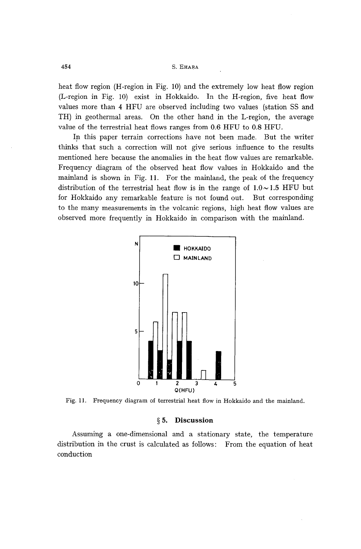heat flow region (H-region in Fig. 10) and the extremely low heat flow region (L-region in Fig. 10) exist in Hokkaido. In the H-region, five heat flow values more than 4 HFU are observed including two values (station SS and TH) in geothermal areas. On the other hand in the L-region, the average value of the terrestrial heat flows ranges from 0.6 HFU to 0.8 HFU.

In this paper terrain corrections have not been made. But the writer thinks that such a correction will not give serious influence to the results mentioned here because the anomalies in the heat flow values are remarkable. Frequency diagram of the observed heat flow values in Hokkaido and the mainland is shown in Fig. 11. For the mainland, the peak of the frequency distribution of the terrestrial heat flow is in the range of  $1.0 \sim 1.5$  HFU but for Hokkaido any remarkable feature is not found out. But corresponding to the many measurements in the volcanic regions, high heat flow values are observed more frequently in Hokkaido in comparison with the mainland.



Fig. 11. Frequency diagram of terrestrial heat flow in Hokkaido and the mainland.

### § 5. Discussion

Assuming a one-dimensional and a stationary state, the temperature distribution in the crust is calculated as follows: From the equation of heat conduction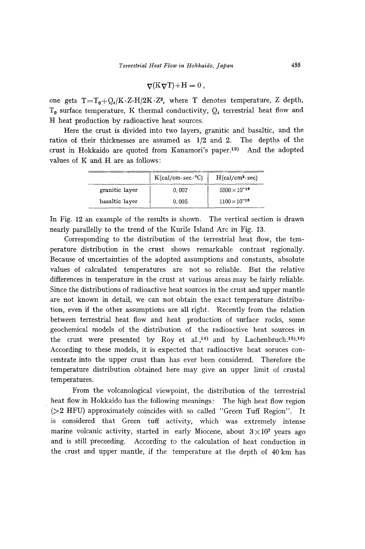$$
\nabla(K\nabla T) + H = 0,
$$

one gets  $T=T_0+Q_s/K\cdot Z-H/2K\cdot Z^2$ , where T denotes temperature, Z depth,  $T_0$  surface temperature, K thermal conductivity,  $Q_s$  terrestrial heat flow and H heat production by radioactive heat sources.

Here the crust is divided into two layers, granitic and basaltic, and the ratios of their thicknesses are assumed as 1/2 and 2. The depths of the crust in Hokkaido are quoted from Kanamori's paper.I3) And the adopted values of K and H are as follows:

|                | $K(cal/cm \cdot sec \cdot C)$ | $H(cal/cm3 \cdot sec)$ |
|----------------|-------------------------------|------------------------|
| granitic layer | 0.007                         | $5500\times10^{-16}$   |
| basaltic layer | 0.005                         | $1100 \times 10^{-16}$ |

In Fig. 12 an example of the results is shown. The vertical section is drawn nearly parallelly to the trend of the Kurile Island Arc in Fig. 13.

Corresponding to the distribution of the terrestrial heat flow, the temperature distribution in the crust shows remarkable contrast regionally. Because of uncertainties of the adopted assumptions and constants, absolute values of calculated temperatures are not so reliable. But the relative differences in temperature in the crust at various areas may be fairly reliable. Since the distributions of radioactive heat sources in the crust and upper mantle are not known in detail, we can not obtain the exact temperature distribution, even if the other assumptions are all right. Recently from the relation between terrestrial heat flow and heat production of surface rocks, some geochemical models of the distribution of the radioactive heat sources in the crust were presented by Roy et al.,<sup>14)</sup> and by Lachenbruch.<sup>15</sup>),<sup>16</sup>) According to these models, it is expected that radioactive heat soruces concentrate into the upper crust than has ever been considered. Therefore the temperature distribution obtained here may give an upper limit of crustal temperatures.

From the volcanological viewpoint, the distribution of the terrestrial heat flow in Hokkaido has the following meanings: The high heat flow region (>2 HFU) approximately coincides with so called "Green Tuff Region". It is considered that Green tuff activity, which was extremely intense marine volcanic activity, started in early Miocene, about  $3 \times 10^7$  years ago and is still preceeding. According to the calculation of heat conduction in the crust and upper mantle, if the temperature at the depth of 40 km has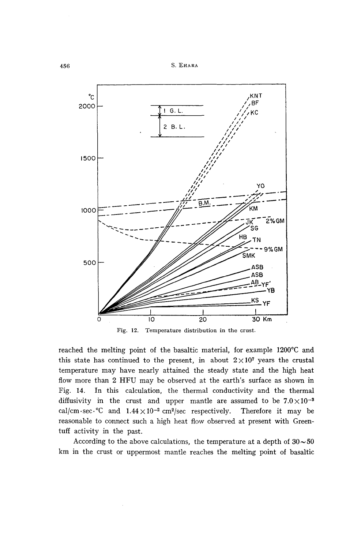

Fig. 12. Temperature distribution in the crust.

reached the melting point of the basaltic material, for example 1200°C and this state has continued to the present, in about  $2 \times 10^7$  years the crustal temperature may have nearly attained the steady state and the high heat flow more than 2 HFU may be observed at the earth's surface as shown in Fig. 14. In this calculation, the thermal conductivity and the thermal diffusivity in the crust and upper mantle are assumed to be  $7.0 \times 10^{-3}$ cal/cm.sec.<sup>o</sup>C and  $1.44 \times 10^{-2}$  cm<sup>2</sup>/sec respectively. Therefore it may be reasonable to connect such a high heat flow observed at present with Greentuff activity in the past.

According to the above calculations, the temperature at a depth of  $30 \sim 50$ km in the crust or uppermost mantle reaches the melting point of basaltic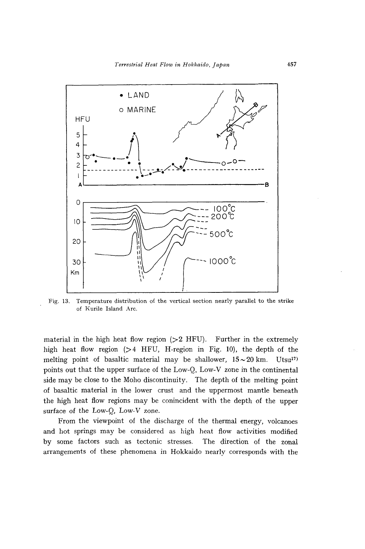

Fig. 13. Temperature distribution of the vertical section nearly parallel to the strike of Kurile Island Arc.

material in the high heat flow region  $(>2$  HFU). Further in the extremely high heat flow region (>4 HFU, H-region in Fig. 10), the depth of the melting point of basaltic material may be shallower,  $15 \sim 20$  km. Utsu<sup>17</sup> points out that the upper surface of the Low-Q, Low-V zone in the continental side may be close to the Moho discontinuity. The depth of the melting point of basaltic material in the lower crust and the uppermost mantle beneath the high heat flow regions may be conincident with the depth of the upper surface of the Low-Q, Low-V zone.

From the viewpoint of the discharge of the thermal energy, volcanoes and hot springs may be considered as high heat flow activities modified by some factors such as tectonic stresses. The direction of the zonal arrangements of these phenomena in Hokkaido nearly corresponds with the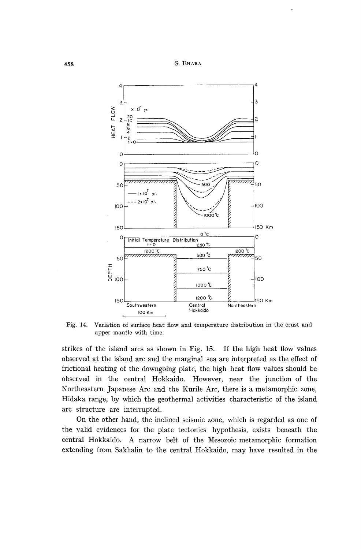



Fig. 14. Variation of surface heat flow and temperature distribution in the crust and upper mantle with time.

strikes of the island arcs as shown in Fig. 15. If the high heat flow values observed at the island arc and the marginal sea are interpreted as the effect of frictional heating of the downgoing plate, the high heat flow values should be observed in the central Hokkaido. However, near the junction of the Northeastern Japanese Arc and the Kurile Arc, there is a metamorphic zone, Hidaka range, by which the geothermal activities characteristic of the island arc structure are interrupted.

On the other hand, the inclined seismic zone, which is regarded as one of the valid evidences for the plate tectonics hypothesis, exists beneath the central Hokkaido. A narrow belt of the Mesozoic metamorphic formation extending from Sakhalin to the central Hokkaido, may have resulted in the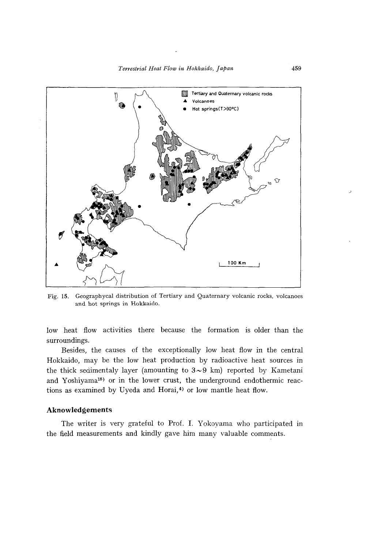

Fig. 15. Geographycal distribution of Tertiary and Quaternary volcanic rocks, volcanoes and hot springs in Hokkaido.

low heat flow activities there because the formation is older than the surroundings.

Besides, the causes of the exceptionally low heat flow in the central Hokkaido, may be the low heat production by radioactive heat sources in the thick sedimentaly layer (amounting to  $3 \sim 9$  km) reported by Kametani and Yoshiyama18) or in the lower crust, the underground endothermic reactions as examined by Uyeda and Horai,<sup>4)</sup> or low mantle heat flow.

## **Aknowledgements**

The writer is very grateful to Prof. I. Yokoyama who participated in the field measurements and kindly gave him many valuable comments.